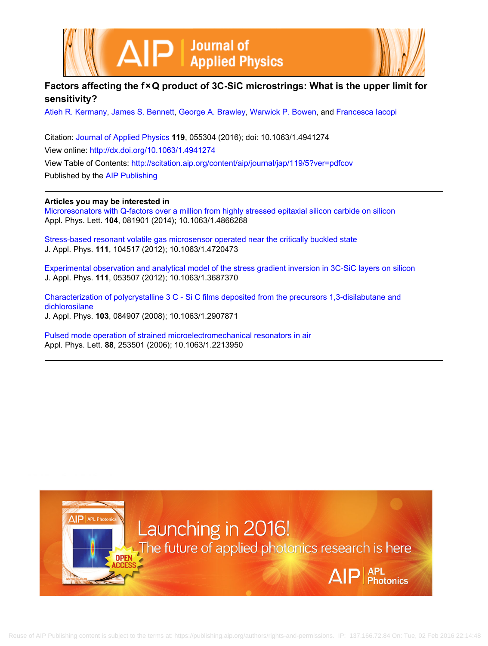



# **Factors affecting the f × Q product of 3C-SiC microstrings: What is the upper limit for sensitivity?**

[Atieh R. Kermany](http://scitation.aip.org/search?value1=Atieh+R.+Kermany&option1=author), [James S. Bennett,](http://scitation.aip.org/search?value1=James+S.+Bennett&option1=author) [George A. Brawley](http://scitation.aip.org/search?value1=George+A.+Brawley&option1=author), [Warwick P. Bowen,](http://scitation.aip.org/search?value1=Warwick+P.+Bowen&option1=author) and [Francesca Iacopi](http://scitation.aip.org/search?value1=Francesca+Iacopi&option1=author)

Citation: [Journal of Applied Physics](http://scitation.aip.org/content/aip/journal/jap?ver=pdfcov) **119**, 055304 (2016); doi: 10.1063/1.4941274 View online: <http://dx.doi.org/10.1063/1.4941274> View Table of Contents: <http://scitation.aip.org/content/aip/journal/jap/119/5?ver=pdfcov> Published by the [AIP Publishing](http://scitation.aip.org/content/aip?ver=pdfcov)

## **Articles you may be interested in**

[Microresonators with Q-factors over a million from highly stressed epitaxial silicon carbide on silicon](http://scitation.aip.org/content/aip/journal/apl/104/8/10.1063/1.4866268?ver=pdfcov) Appl. Phys. Lett. **104**, 081901 (2014); 10.1063/1.4866268

[Stress-based resonant volatile gas microsensor operated near the critically buckled state](http://scitation.aip.org/content/aip/journal/jap/111/10/10.1063/1.4720473?ver=pdfcov) J. Appl. Phys. **111**, 104517 (2012); 10.1063/1.4720473

[Experimental observation and analytical model of the stress gradient inversion in 3C-SiC layers on silicon](http://scitation.aip.org/content/aip/journal/jap/111/5/10.1063/1.3687370?ver=pdfcov) J. Appl. Phys. **111**, 053507 (2012); 10.1063/1.3687370

[Characterization of polycrystalline 3 C - Si C films deposited from the precursors 1,3-disilabutane and](http://scitation.aip.org/content/aip/journal/jap/103/8/10.1063/1.2907871?ver=pdfcov) [dichlorosilane](http://scitation.aip.org/content/aip/journal/jap/103/8/10.1063/1.2907871?ver=pdfcov) J. Appl. Phys. **103**, 084907 (2008); 10.1063/1.2907871

[Pulsed mode operation of strained microelectromechanical resonators in air](http://scitation.aip.org/content/aip/journal/apl/88/25/10.1063/1.2213950?ver=pdfcov) Appl. Phys. Lett. **88**, 253501 (2006); 10.1063/1.2213950

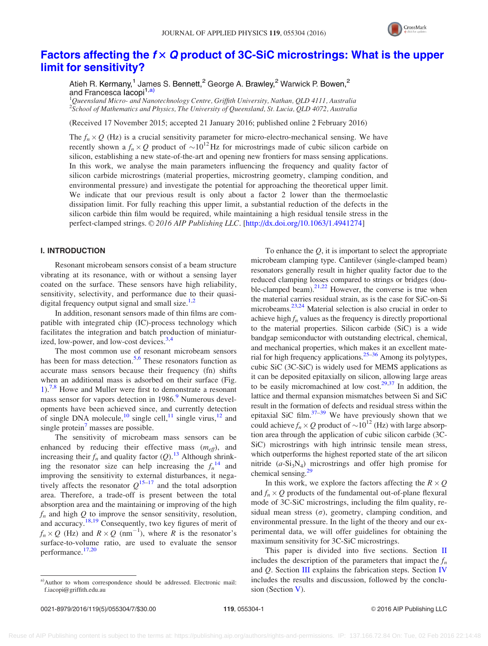

# [Factors affecting the](http://dx.doi.org/10.1063/1.4941274)  $f \times Q$  [product of 3C-SiC microstrings: What is the upper](http://dx.doi.org/10.1063/1.4941274) [limit for sensitivity?](http://dx.doi.org/10.1063/1.4941274)

Atieh R. Kermany,<sup>1</sup> James S. Bennett,<sup>2</sup> George A. Brawley,<sup>2</sup> Warwick P. Bowen,<sup>2</sup> and Francesca Iacopi<sup>1,a)</sup>

 $^1$ Queensland Micro- and Nanotechnology Centre, Griffith University, Nathan, QLD 4111, Australia  $^2$ School of Mathematics and Physics, The University of Queensland, St. Lucia, QLD 4072, Australia

(Received 17 November 2015; accepted 21 January 2016; published online 2 February 2016)

The  $f_n \times Q$  (Hz) is a crucial sensitivity parameter for micro-electro-mechanical sensing. We have recently shown a  $f_n \times Q$  product of  $\sim 10^{12}$  Hz for microstrings made of cubic silicon carbide on silicon, establishing a new state-of-the-art and opening new frontiers for mass sensing applications. In this work, we analyse the main parameters influencing the frequency and quality factor of silicon carbide microstrings (material properties, microstring geometry, clamping condition, and environmental pressure) and investigate the potential for approaching the theoretical upper limit. We indicate that our previous result is only about a factor 2 lower than the thermoelastic dissipation limit. For fully reaching this upper limit, a substantial reduction of the defects in the silicon carbide thin film would be required, while maintaining a high residual tensile stress in the perfect-clamped strings. © 2016 AIP Publishing LLC. [\[http://dx.doi.org/10.1063/1.4941274](http://dx.doi.org/10.1063/1.4941274)]

### I. INTRODUCTION

Resonant microbeam sensors consist of a beam structure vibrating at its resonance, with or without a sensing layer coated on the surface. These sensors have high reliability, sensitivity, selectivity, and performance due to their quasidigital frequency output signal and small size. $1,2$ 

In addition, resonant sensors made of thin films are compatible with integrated chip (IC)-process technology which facilitates the integration and batch production of miniatur-ized, low-power, and low-cost devices.<sup>[3,4](#page-6-0)</sup>

The most common use of resonant microbeam sensors has been for mass detection.<sup>[5,6](#page-6-0)</sup> These resonators function as accurate mass sensors because their frequency (fn) shifts when an additional mass is adsorbed on their surface (Fig. [1](#page-2-0)).<sup>[7,8](#page-6-0)</sup> Howe and Muller were first to demonstrate a resonant mass sensor for vapors detection in 1986.<sup>9</sup> Numerous developments have been achieved since, and currently detection of single DNA molecule,<sup>[10](#page-6-0)</sup> single cell,<sup>[11](#page-6-0)</sup> single virus,<sup>[12](#page-6-0)</sup> and single protein<sup>'</sup> masses are possible.

The sensitivity of microbeam mass sensors can be enhanced by reducing their effective mass  $(m_{\text{eff}})$ , and increasing their  $f_n$  and quality factor (Q).<sup>[13](#page-6-0)</sup> Although shrinking the resonator size can help increasing the  $f_n^{14}$  $f_n^{14}$  $f_n^{14}$  and improving the sensitivity to external disturbances, it negatively affects the resonator  $Q^{15-17}$  and the total adsorption area. Therefore, a trade-off is present between the total absorption area and the maintaining or improving of the high  $f_n$  and high Q to improve the sensor sensitivity, resolution, and accuracy.<sup>[18,19](#page-6-0)</sup> Consequently, two key figures of merit of  $f_n \times Q$  (Hz) and  $R \times Q$  (nm<sup>-1</sup>), where R is the resonator's surface-to-volume ratio, are used to evaluate the sensor performance.<sup>[17,20](#page-6-0)</sup>

To enhance the  $Q$ , it is important to select the appropriate microbeam clamping type. Cantilever (single-clamped beam) resonators generally result in higher quality factor due to the reduced clamping losses compared to strings or bridges (double-clamped beam).<sup>21,22</sup> However, the converse is true when the material carries residual strain, as is the case for SiC-on-Si microbeams.<sup>23,24</sup> Material selection is also crucial in order to achieve high  $f_n$  values as the frequency is directly proportional to the material properties. Silicon carbide (SiC) is a wide bandgap semiconductor with outstanding electrical, chemical, and mechanical properties, which makes it an excellent mate-rial for high frequency applications.<sup>[25](#page-6-0)–[36](#page-6-0)</sup> Among its polytypes, cubic SiC (3C-SiC) is widely used for MEMS applications as it can be deposited epitaxially on silicon, allowing large areas to be easily micromachined at low cost.<sup>[29,37](#page-6-0)</sup> In addition, the lattice and thermal expansion mismatches between Si and SiC result in the formation of defects and residual stress within the epitaxial SiC film. $37-39$  We have previously shown that we could achieve  $f_n \times Q$  product of  $\sim 10^{12}$  (Hz) with large absorption area through the application of cubic silicon carbide (3C-SiC) microstrings with high intrinsic tensile mean stress, which outperforms the highest reported state of the art silicon nitride  $(a-Si<sub>3</sub>N<sub>4</sub>)$  microstrings and offer high promise for chemical sensing. $<sup>2</sup>$ </sup>

In this work, we explore the factors affecting the  $R \times Q$ and  $f_n \times Q$  products of the fundamental out-of-plane flexural mode of 3C-SiC microstrings, including the film quality, residual mean stress  $(\sigma)$ , geometry, clamping condition, and environmental pressure. In the light of the theory and our experimental data, we will offer guidelines for obtaining the maximum sensitivity for 3C-SiC microstrings.

This paper is divided into five sections. Section  $\Pi$ includes the description of the parameters that impact the  $f_n$ and Q. Section [III](#page-3-0) explains the fabrication steps. Section [IV](#page-3-0) includes the results and discussion, followed by the conclusion (Section [V](#page-5-0)).

a)Author to whom correspondence should be addressed. Electronic mail: [f.iacopi@griffith.edu.au](mailto:f.iacopi@griffith.edu.au)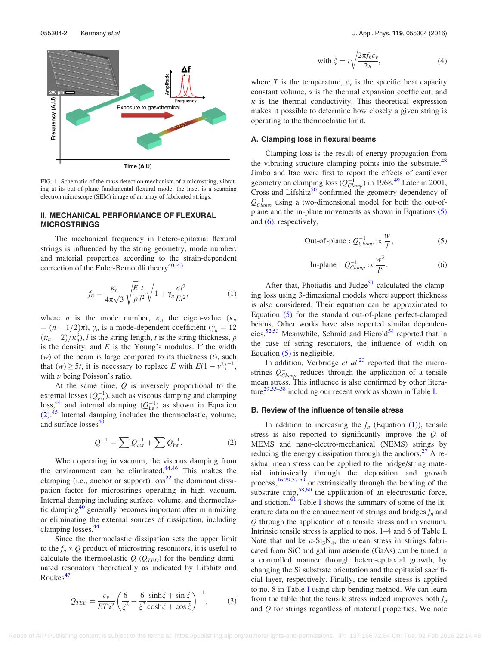<span id="page-2-0"></span>

FIG. 1. Schematic of the mass detection mechanism of a microstring, vibrating at its out-of-plane fundamental flexural mode; the inset is a scanning electron microscope (SEM) image of an array of fabricated strings.

### II. MECHANICAL PERFORMANCE OF FLEXURAL MICROSTRINGS

The mechanical frequency in hetero-epitaxial flexural strings is influenced by the string geometry, mode number, and material properties according to the strain-dependent correction of the Euler-Bernoulli theory $40-43$ 

$$
f_n = \frac{\kappa_n}{4\pi\sqrt{3}} \sqrt{\frac{E}{\rho}} \frac{t}{l^2} \sqrt{1 + \gamma_n \frac{\sigma l^2}{Et^2}},
$$
(1)

where *n* is the mode number,  $\kappa_n$  the eigen-value ( $\kappa_n$ )  $=(n + 1/2)\pi$ ),  $\gamma_n$  is a mode-dependent coefficient ( $\gamma_n = 12$ )  $(\kappa_n - 2)/\kappa_n^3$ , *l* is the string length, *t* is the string thickness,  $\rho$ is the density, and  $E$  is the Young's modulus. If the width  $(w)$  of the beam is large compared to its thickness  $(t)$ , such that  $(w) \ge 5t$ , it is necessary to replace E with  $E(1 - v^2)^{-1}$ , with  $\nu$  being Poisson's ratio.

At the same time,  $Q$  is inversely proportional to the external losses  $(Q_{ext}^{-1})$ , such as viscous damping and clamping  $\cos^{44}$  $\cos^{44}$  $\cos^{44}$  and internal damping  $(Q_{\text{int}}^{-1})$  as shown in Equation (2). [45](#page-6-0) Internal damping includes the thermoelastic, volume, and surface losses<sup>[40](#page-6-0)</sup>

$$
Q^{-1} = \sum Q_{ext}^{-1} + \sum Q_{int}^{-1}.
$$
 (2)

When operating in vacuum, the viscous damping from the environment can be eliminated. $44,46$  This makes the clamping (i.e., anchor or support)  $loss<sup>22</sup>$  $loss<sup>22</sup>$  $loss<sup>22</sup>$  the dominant dissipation factor for microstrings operating in high vacuum. Internal damping including surface, volume, and thermoelas-tic damping<sup>[40](#page-6-0)</sup> generally becomes important after minimizing or eliminating the external sources of dissipation, including clamping losses.<sup>[44](#page-6-0)</sup>

Since the thermoelastic dissipation sets the upper limit to the  $f_n \times Q$  product of microstring resonators, it is useful to calculate the thermoelastic  $Q$  ( $Q_{\text{TED}}$ ) for the bending dominated resonators theoretically as indicated by Lifshitz and  $Roukes<sup>47</sup>$  $Roukes<sup>47</sup>$  $Roukes<sup>47</sup>$ 

$$
Q_{TED} = \frac{c_v}{ET\alpha^2} \left(\frac{6}{\xi^2} - \frac{6}{\xi^3} \frac{\sinh\xi + \sin\xi}{\cosh\xi + \cos\xi}\right)^{-1},\tag{3}
$$

with 
$$
\xi = t \sqrt{\frac{2\pi f_n c_v}{2\kappa}}
$$
, (4)

where T is the temperature,  $c<sub>v</sub>$  is the specific heat capacity constant volume,  $\alpha$  is the thermal expansion coefficient, and  $\kappa$  is the thermal conductivity. This theoretical expression makes it possible to determine how closely a given string is operating to the thermoelastic limit.

#### A. Clamping loss in flexural beams

Clamping loss is the result of energy propagation from the vibrating structure clamping points into the substrate.<sup>[48](#page-6-0)</sup> Jimbo and Itao were first to report the effects of cantilever geometry on clamping loss  $(Q_{Clamp}^{-1})$  in 1968.<sup>[49](#page-6-0)</sup> Later in 2001, Cross and Lifshitz $50$  confirmed the geometry dependency of  $Q_{Clamp}^{-1}$  using a two-dimensional model for both the out-ofplane and the in-plane movements as shown in Equations (5) and (6), respectively,

Out-of-plane : 
$$
Q_{Clamp}^{-1} \propto \frac{w}{l}
$$
, (5)

In-plane : 
$$
Q_{Clamp}^{-1} \propto \frac{w^3}{l^3}
$$
. (6)

After that, Photiadis and Judge $51$  calculated the clamping loss using 3-dimesional models where support thickness is also considered. Their equation can be approximated to Equation (5) for the standard out-of-plane perfect-clamped beams. Other works have also reported similar dependen-cies.<sup>[52,53](#page-6-0)</sup> Meanwhile, Schmid and Hierold<sup>[54](#page-6-0)</sup> reported that in the case of string resonators, the influence of width on Equation  $(5)$  is negligible.

In addition, Verbridge et  $al^{23}$  $al^{23}$  $al^{23}$  reported that the microstrings  $Q_{Clamp}^{-1}$  reduces through the application of a tensile mean stress. This influence is also confirmed by other litera-ture<sup>[29,55–58](#page-6-0)</sup> including our recent work as shown in Table [I](#page-3-0).

#### B. Review of the influence of tensile stress

In addition to increasing the  $f_n$  (Equation (1)), tensile stress is also reported to significantly improve the Q of MEMS and nano-electro-mechanical (NEMS) strings by reducing the energy dissipation through the anchors. $27$  A residual mean stress can be applied to the bridge/string material intrinsically through the deposition and growth process, $16,29,57,59$  $16,29,57,59$  $16,29,57,59$  or extrinsically through the bending of the substrate chip, $58,60$  the application of an electrostatic force, and stiction.<sup>[61](#page-6-0)</sup> Table [I](#page-3-0) shows the summary of some of the literature data on the enhancement of strings and bridges  $f_n$  and Q through the application of a tensile stress and in vacuum. Intrinsic tensile stress is applied to nos. 1–4 and 6 of Table [I](#page-3-0). Note that unlike  $a-Si_3N_4$ , the mean stress in strings fabricated from SiC and gallium arsenide (GaAs) can be tuned in a controlled manner through hetero-epitaxial growth, by changing the Si substrate orientation and the epitaxial sacrificial layer, respectively. Finally, the tensile stress is applied to no. 8 in Table [I](#page-3-0) using chip-bending method. We can learn from the table that the tensile stress indeed improves both  $f_n$ and Q for strings regardless of material properties. We note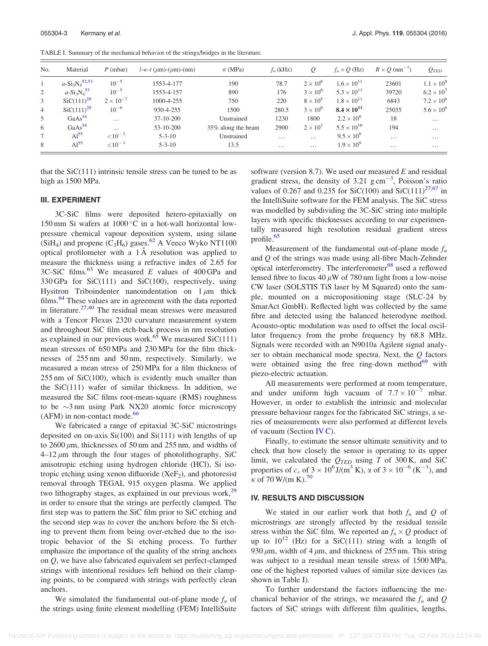<span id="page-3-0"></span>TABLE I. Summary of the mechanical behavior of the strings/bridges in the literature.

| No.            | Material                     | $P$ (mbar)         | $l-w-t$ ( $\mu$ m)-( $\mu$ m)-(nm) | $\sigma$ (MPa)     | $f_n$ (kHz) | Q                 | $f_n \times Q$ (Hz)  | $R \times Q$ (nm <sup>-1</sup> ) | $Q_{\mathit{TED}}$  |
|----------------|------------------------------|--------------------|------------------------------------|--------------------|-------------|-------------------|----------------------|----------------------------------|---------------------|
| $\mathbf{1}$   | $a-Si_3N_4$ <sup>52,53</sup> | $10^{-5}$          | 1553-4-177                         | 190                | 78.7        | $2 \times 10^6$   | $1.6 \times 10^{11}$ | 23601                            | $1.1 \times 10^{8}$ |
| 2              | $a-Si_3N_4^{53}$             | $10^{-5}$          | 1553-4-157                         | 890                | 176         | $3 \times 10^6$   | $5.3 \times 10^{11}$ | 39720                            | $6.2 \times 10^{7}$ |
| 3              | $SiC(111)^{28}$              | $2 \times 10^{-7}$ | 1000-4-255                         | 750                | 220         | $8 \times 10^5$   | $1.8 \times 10^{11}$ | 6843                             | $7.2 \times 10^{6}$ |
| $\overline{4}$ | $SiC(111)^{28}$              | $10^{-6}$          | 930-4-255                          | 1500               | 280.5       | $3 \times 10^{6}$ | $8.4 \times 10^{11}$ | 25035                            | $5.6 \times 10^{6}$ |
| 5              | GaAs <sup>54</sup>           | $\cdots$           | $37-10-200$                        | Unstrained         | 1230        | 1800              | $2.2 \times 10^{9}$  | 18                               | $\cdots$            |
| 6              | GaAs <sup>54</sup>           | $\cdots$           | 53-10-200                          | 35% along the beam | 2900        | $2 \times 10^3$   | $5.5 \times 10^{10}$ | 194                              | $\cdots$            |
| 7              | Al <sup>55</sup>             | ${<}10^{-3}$       | $5 - 3 - 10$                       | Unstrained         | $\cdots$    | .                 | $9.5 \times 10^{8}$  | $\cdots$                         | $\cdots$            |
| 8              | Al <sup>55</sup>             | ${<}10^{-3}$       | $5 - 3 - 10$                       | 13.5               | $\cdots$    | $\cdots$          | $1.9 \times 10^{9}$  | $\cdots$                         | $\cdots$            |

that the  $SiC(111)$  intrinsic tensile stress can be tuned to be as high as 1500 MPa.

#### III. EXPERIMENT

3C-SiC films were deposited hetero-epitaxially on 150 mm Si wafers at  $1000\,^{\circ}\text{C}$  in a hot-wall horizontal lowpressure chemical vapour deposition system, using silane (SiH<sub>4</sub>) and propene (C<sub>3</sub>H<sub>6</sub>) gases.<sup>[62](#page-6-0)</sup> A Veeco Wyko NT1100 optical profilometer with a  $1 \AA$  resolution was applied to measure the thickness using a refractive index of 2.65 for 3C-SiC films.<sup>[63](#page-6-0)</sup> We measured E values of 400 GPa and 330 GPa for SiC(111) and SiC(100), respectively, using Hysitron Triboindenter nanoindentation on  $1 \mu m$  thick films.<sup>[64](#page-6-0)</sup> These values are in agreement with the data reported in literature.<sup>[27,40](#page-6-0)</sup> The residual mean stresses were measured with a Tencor Flexus 2320 curvature measurement system and throughout SiC film etch-back process in nm resolution as explained in our previous work.<sup>[65](#page-6-0)</sup> We measured SiC(111) mean stresses of 650 MPa and 230 MPa for the film thicknesses of 255 nm and 50 nm, respectively. Similarly, we measured a mean stress of 250 MPa for a film thickness of 255 nm of SiC(100), which is evidently much smaller than the SiC(111) wafer of similar thickness. In addition, we measured the SiC films root-mean-square (RMS) roughness to be  $\sim$ 3 nm using Park NX20 atomic force microscopy  $(AFM)$  in non-contact mode.<sup>[66](#page-6-0)</sup>

We fabricated a range of epitaxial 3C-SiC microstrings deposited on on-axis Si(100) and Si(111) with lengths of up to  $2600 \mu m$ , thicknesses of 50 nm and  $255 \text{ nm}$ , and widths of  $4-12 \mu m$  through the four stages of photolithography, SiC anisotropic etching using hydrogen chloride (HCl), Si isotropic etching using xenon difluoride  $(XeF<sub>2</sub>)$ , and photoresist removal through TEGAL 915 oxygen plasma. We applied two lithography stages, as explained in our previous work, $29$ in order to ensure that the strings are perfectly clamped. The first step was to pattern the SiC film prior to SiC etching and the second step was to cover the anchors before the Si etching to prevent them from being over-etched due to the isotropic behavior of the Si etching process. To further emphasize the importance of the quality of the string anchors on Q, we have also fabricated equivalent set perfect-clamped strings with intentional residues left behind on their clamping points, to be compared with strings with perfectly clean anchors.

We simulated the fundamental out-of-plane mode  $f_n$  of the strings using finite element modelling (FEM) IntelliSuite software (version 8.7). We used our measured  $E$  and residual gradient stress, the density of 3.21  $\text{g cm}^{-3}$ , Poisson's ratio values of 0.267 and 0.235 for SiC(100) and SiC(111)<sup>[27,67](#page-6-0)</sup> in the IntelliSuite software for the FEM analysis. The SiC stress was modelled by subdividing the 3C-SiC string into multiple layers with specific thicknesses according to our experimentally measured high resolution residual gradient stress profile. $65$ 

Measurement of the fundamental out-of-plane mode  $f_n$ and Q of the strings was made using all-fibre Mach-Zehnder optical interferometry. The interferometer<sup>[68](#page-6-0)</sup> used a reflowed lensed fibre to focus 40  $\mu$ W of 780 nm light from a low-noise CW laser (SOLSTIS TiS laser by M Squared) onto the sample, mounted on a micropositioning stage (SLC-24 by SmarAct GmbH). Reflected light was collected by the same fibre and detected using the balanced heterodyne method. Acousto-optic modulation was used to offset the local oscillator frequency from the probe frequency by 68.8 MHz. Signals were recorded with an N9010a Agilent signal analyser to obtain mechanical mode spectra. Next, the  $Q$  factors were obtained using the free ring-down method $^{69}$  $^{69}$  $^{69}$  with piezo-electric actuation.

All measurements were performed at room temperature, and under uniform high vacuum of  $7.7 \times 10^{-7}$  mbar. However, in order to establish the intrinsic and molecular pressure behaviour ranges for the fabricated SiC strings, a series of measurements were also performed at different levels of vacuum (Section [IV C\)](#page-5-0).

Finally, to estimate the sensor ultimate sensitivity and to check that how closely the sensor is operating to its upper limit, we calculated the  $Q_{\text{TED}}$  using T of 300 K, and SiC properties of  $c_v$  of  $3 \times 10^6$  J/(m<sup>3</sup> K),  $\alpha$  of  $3 \times 10^{-6}$  (K<sup>-1</sup>), and  $\kappa$  of [70](#page-7-0) W/(m K).<sup>70</sup>

#### IV. RESULTS AND DISCUSSION

We stated in our earlier work that both  $f_n$  and Q of microstrings are strongly affected by the residual tensile stress within the SiC film. We reported an  $f_n \times Q$  product of up to  $10^{12}$  (Hz) for a SiC(111) string with a length of 930  $\mu$ m, width of 4  $\mu$ m, and thickness of 255 nm. This string was subject to a residual mean tensile stress of 1500 MPa, one of the highest reported values of similar size devices (as shown in Table I).

To further understand the factors influencing the mechanical behavior of the strings, we measured the  $f_n$  and  $Q$ factors of SiC strings with different film qualities, lengths,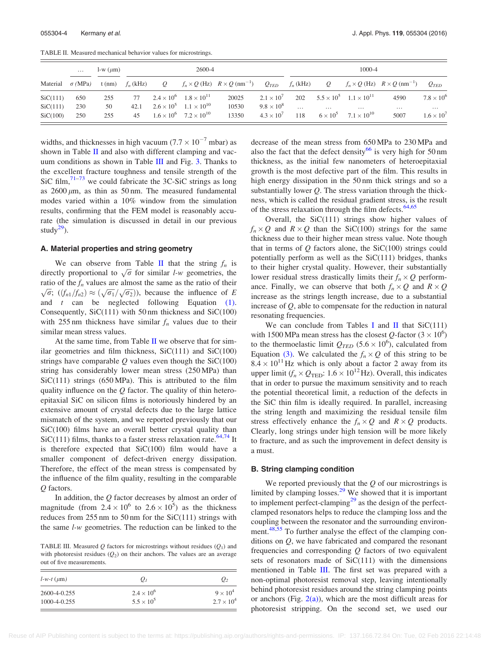<span id="page-4-0"></span>TABLE II. Measured mechanical behavior values for microstrings.

|          | $\cdots$       | $l-w(\mu m)$ | 2600-4      |                |                                          |                                                      |                     | 1000-4      |                |                                        |                                                      |                     |
|----------|----------------|--------------|-------------|----------------|------------------------------------------|------------------------------------------------------|---------------------|-------------|----------------|----------------------------------------|------------------------------------------------------|---------------------|
| Material | $\sigma$ (MPa) | $t$ (nm)     | $f_n$ (kHz) | $\overline{O}$ |                                          | $f_n \times Q$ (Hz) $R \times Q$ (nm <sup>-1</sup> ) | $Q_{\mathit{TED}}$  | $f_n$ (kHz) | $\overline{O}$ |                                        | $f_n \times Q$ (Hz) $R \times Q$ (nm <sup>-1</sup> ) | $Q_{\mathit{TFD}}$  |
| SiC(111) | 650            | 255          | 77          |                | $2.4 \times 10^6$ $1.8 \times 10^{11}$   | 20025                                                | $2.1 \times 10^{7}$ | 202         |                | $5.5 \times 10^5$ $1.1 \times 10^{11}$ | 4590                                                 | $7.8 \times 10^{6}$ |
| SiC(111) | 230            | 50           | 42.1        |                | $2.6 \times 10^5$ $1.1 \times 10^{10}$   | 10530                                                | $9.8 \times 10^8$   | $\cdots$    | $\cdots$       | $\cdots$                               | $\cdots$                                             | $\cdots$            |
| SiC(100) | 250            | 255          | 45          |                | $1.6 \times 10^{6}$ $7.2 \times 10^{10}$ | 13350                                                | $4.3 \times 10^{7}$ | 118         |                | $6 \times 10^5$ $7.1 \times 10^{10}$   | 5007                                                 | $1.6 \times 10^{7}$ |

widths, and thicknesses in high vacuum  $(7.7 \times 10^{-7}$  mbar) as shown in Table II and also with different clamping and vacuum conditions as shown in Table III and Fig. [3.](#page-5-0) Thanks to the excellent fracture toughness and tensile strength of the SiC film,  $71-73$  we could fabricate the 3C-SiC strings as long as  $2600 \mu m$ , as thin as 50 nm. The measured fundamental modes varied within a 10% window from the simulation results, confirming that the FEM model is reasonably accurate (the simulation is discussed in detail in our previous study $^{29}$  $^{29}$  $^{29}$ ).

#### A. Material properties and string geometry

We can observe from Table II that the string  $f_n$  is we can observe from Table II that the string  $f_n$  is<br>directly proportional to  $\sqrt{\sigma}$  for similar l-w geometries, the ratio of the  $f_n$  values are almost the same as the ratio of their ratio of the  $f_n$  values are almost the same as the ratio of their  $\sqrt{\sigma}$ ;  $((f_{n1}/f_{n2}) \approx (\sqrt{\sigma_1}/\sqrt{\sigma_2}))$ , because the influence of E and  $t$  can be neglected following Equation  $(1)$ . Consequently, SiC(111) with 50 nm thickness and SiC(100) with 255 nm thickness have similar  $f_n$  values due to their similar mean stress values.

At the same time, from Table  $II$  we observe that for similar geometries and film thickness,  $SiC(111)$  and  $SiC(100)$ strings have comparable  $Q$  values even though the SiC(100) string has considerably lower mean stress (250 MPa) than  $SiC(111)$  strings (650 MPa). This is attributed to the film quality influence on the  $Q$  factor. The quality of thin heteroepitaxial SiC on silicon films is notoriously hindered by an extensive amount of crystal defects due to the large lattice mismatch of the system, and we reported previously that our SiC(100) films have an overall better crystal quality than  $SiC(111)$  films, thanks to a faster stress relaxation rate.<sup>[64,](#page-6-0)[74](#page-7-0)</sup> It is therefore expected that  $SiC(100)$  film would have a smaller component of defect-driven energy dissipation. Therefore, the effect of the mean stress is compensated by the influence of the film quality, resulting in the comparable O factors.

In addition, the Q factor decreases by almost an order of magnitude (from  $2.4 \times 10^6$  to  $2.6 \times 10^5$ ) as the thickness reduces from  $255 \text{ nm}$  to  $50 \text{ nm}$  for the  $SiC(111)$  strings with the same l-w geometries. The reduction can be linked to the

TABLE III. Measured Q factors for microstrings without residues  $(Q_1)$  and with photoresist residues  $(Q_2)$  on their anchors. The values are an average out of five measurements.

| $l-w-t$ ( $\mu$ m) | $Q_I$               | $\mathcal{Q}_2$     |
|--------------------|---------------------|---------------------|
| $2600 - 4 - 0.255$ | $2.4 \times 10^{6}$ | $9 \times 10^4$     |
| $1000-4-0.255$     | $5.5 \times 10^{5}$ | $2.7 \times 10^{4}$ |

decrease of the mean stress from 650 MPa to 230 MPa and also the fact that the defect density $66$  is very high for 50 nm thickness, as the initial few nanometers of heteroepitaxial growth is the most defective part of the film. This results in high energy dissipation in the 50 nm thick strings and so a substantially lower  $Q$ . The stress variation through the thickness, which is called the residual gradient stress, is the result of the stress relaxation through the film defects.<sup>[64,65](#page-6-0)</sup>

Overall, the  $SiC(111)$  strings show higher values of  $f_n \times Q$  and  $R \times Q$  than the SiC(100) strings for the same thickness due to their higher mean stress value. Note though that in terms of  $Q$  factors alone, the SiC(100) strings could potentially perform as well as the  $SiC(111)$  bridges, thanks to their higher crystal quality. However, their substantially lower residual stress drastically limits their  $f_n \times Q$  performance. Finally, we can observe that both  $f_n \times Q$  and  $R \times Q$ increase as the strings length increase, due to a substantial increase of  $Q$ , able to compensate for the reduction in natural resonating frequencies.

We can conclude from Tables [I](#page-3-0) and II that  $SiC(111)$ with 1500 MPa mean stress has the closest Q-factor  $(3 \times 10^6)$ to the thermoelastic limit  $Q_{TED}$  (5.6  $\times$  10<sup>6</sup>), calculated from Equation [\(3\)](#page-2-0). We calculated the  $f_n \times Q$  of this string to be  $8.4 \times 10^{11}$  Hz which is only about a factor 2 away from its upper limit ( $f_n \times Q_{\text{TED}}$ : 1.6  $\times$  10<sup>12</sup> Hz). Overall, this indicates that in order to pursue the maximum sensitivity and to reach the potential theoretical limit, a reduction of the defects in the SiC thin film is ideally required. In parallel, increasing the string length and maximizing the residual tensile film stress effectively enhance the  $f_n \times Q$  and  $R \times Q$  products. Clearly, long strings under high tension will be more likely to fracture, and as such the improvement in defect density is a must.

#### B. String clamping condition

We reported previously that the  $Q$  of our microstrings is limited by clamping losses. $^{29}$  $^{29}$  $^{29}$  We showed that it is important to implement perfect-clamping<sup>[29](#page-6-0)</sup> as the design of the perfectclamped resonators helps to reduce the clamping loss and the coupling between the resonator and the surrounding environ-ment.<sup>[48,55](#page-6-0)</sup> To further analyse the effect of the clamping conditions on  $Q$ , we have fabricated and compared the resonant frequencies and corresponding  $Q$  factors of two equivalent sets of resonators made of  $SiC(111)$  with the dimensions mentioned in Table III. The first set was prepared with a non-optimal photoresist removal step, leaving intentionally behind photoresist residues around the string clamping points or anchors (Fig.  $2(a)$ ), which are the most difficult areas for photoresist stripping. On the second set, we used our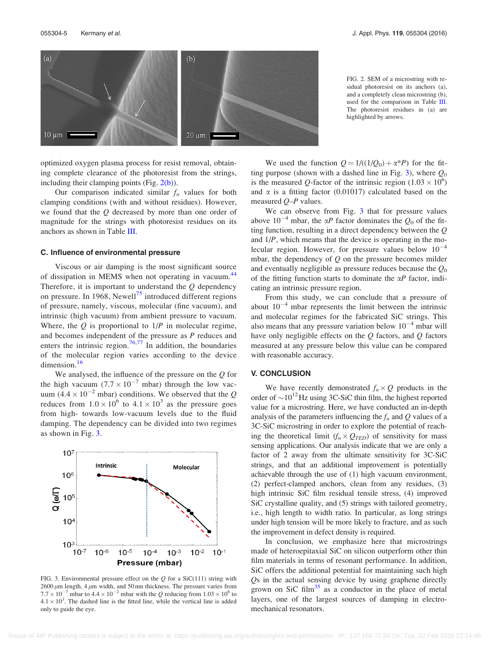<span id="page-5-0"></span>

FIG. 2. SEM of a microstring with residual photoresist on its anchors (a), and a completely clean microstring (b), used for the comparison in Table [III.](#page-4-0) The photoresist residues in (a) are highlighted by arrows.

optimized oxygen plasma process for resist removal, obtaining complete clearance of the photoresist from the strings, including their clamping points (Fig.  $2(b)$ ).

Our comparison indicated similar  $f_n$  values for both clamping conditions (with and without residues). However, we found that the Q decreased by more than one order of magnitude for the strings with photoresist residues on its anchors as shown in Table [III.](#page-4-0)

#### C. Influence of environmental pressure

Viscous or air damping is the most significant source of dissipation in MEMS when not operating in vacuum.<sup>[44](#page-6-0)</sup> Therefore, it is important to understand the  $Q$  dependency on pressure. In 1968, Newell<sup>[75](#page-7-0)</sup> introduced different regions of pressure, namely, viscous, molecular (fine vacuum), and intrinsic (high vacuum) from ambient pressure to vacuum. Where, the  $Q$  is proportional to  $1/P$  in molecular regime, and becomes independent of the pressure as P reduces and enters the intrinsic region.<sup>[76,77](#page-7-0)</sup> In addition, the boundaries of the molecular region varies according to the device dimension.<sup>[16](#page-6-0)</sup>

We analysed, the influence of the pressure on the  $Q$  for the high vacuum  $(7.7 \times 10^{-7} \text{ mbar})$  through the low vacuum  $(4.4 \times 10^{-2}$  mbar) conditions. We observed that the Q reduces from  $1.0 \times 10^6$  to  $4.1 \times 10^3$  as the pressure goes from high- towards low-vacuum levels due to the fluid damping. The dependency can be divided into two regimes as shown in Fig. 3.



FIG. 3. Environmental pressure effect on the  $Q$  for a SiC(111) string with  $2600 \mu m$  length, 4  $\mu m$  width, and 50 nm thickness. The pressure varies from  $7.7 \times 10^{-7}$  mbar to  $4.4 \times 10^{-2}$  mbar with the Q reducing from  $1.03 \times 10^{6}$  to  $4.1 \times 10^3$ . The dashed line is the fitted line, while the vertical line is added only to guide the eye.

We used the function  $Q = 1/((1/Q_0) + \alpha^*P)$  for the fitting purpose (shown with a dashed line in Fig. 3), where  $Q_0$ is the measured Q-factor of the intrinsic region  $(1.03 \times 10^6)$ and  $\alpha$  is a fitting factor (0.01017) calculated based on the measured Q–P values.

We can observe from Fig. 3 that for pressure values above  $10^{-4}$  mbar, the  $\alpha P$  factor dominates the  $Q_0$  of the fitting function, resulting in a direct dependency between the Q and  $1/P$ , which means that the device is operating in the molecular region. However, for pressure values below  $10^{-4}$ mbar, the dependency of  $Q$  on the pressure becomes milder and eventually negligible as pressure reduces because the  $Q_0$ of the fitting function starts to dominate the  $\alpha P$  factor, indicating an intrinsic pressure region.

From this study, we can conclude that a pressure of about  $10^{-4}$  mbar represents the limit between the intrinsic and molecular regimes for the fabricated SiC strings. This also means that any pressure variation below  $10^{-4}$  mbar will have only negligible effects on the  $Q$  factors, and  $Q$  factors measured at any pressure below this value can be compared with reasonable accuracy.

#### V. CONCLUSION

We have recently demonstrated  $f_n \times Q$  products in the order of  $\sim 10^{12}$  Hz using 3C-SiC thin film, the highest reported value for a microstring. Here, we have conducted an in-depth analysis of the parameters influencing the  $f_n$  and Q values of a 3C-SiC microstring in order to explore the potential of reaching the theoretical limit  $(f_n \times Q_{\mathit{TED}})$  of sensitivity for mass sensing applications. Our analysis indicate that we are only a factor of 2 away from the ultimate sensitivity for 3C-SiC strings, and that an additional improvement is potentially achievable through the use of (1) high vacuum environment, (2) perfect-clamped anchors, clean from any residues, (3) high intrinsic SiC film residual tensile stress, (4) improved SiC crystalline quality, and (5) strings with tailored geometry, i.e., high length to width ratio. In particular, as long strings under high tension will be more likely to fracture, and as such the improvement in defect density is required.

In conclusion, we emphasize here that microstrings made of heteroepitaxial SiC on silicon outperform other thin film materials in terms of resonant performance. In addition, SiC offers the additional potential for maintaining such high Qs in the actual sensing device by using graphene directly grown on SiC film<sup>[35](#page-6-0)</sup> as a conductor in the place of metal layers, one of the largest sources of damping in electromechanical resonators.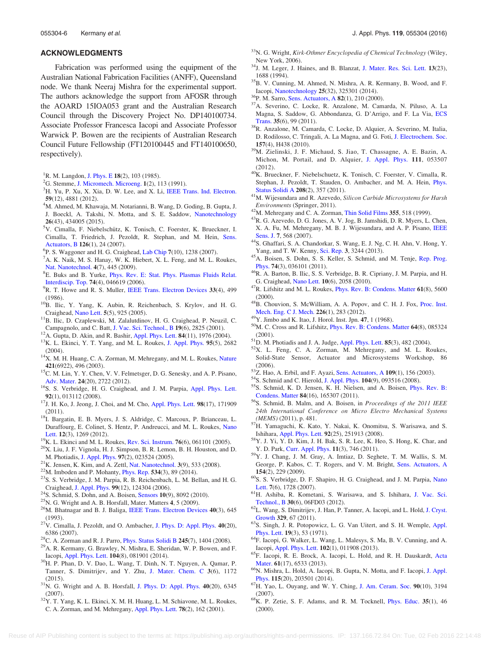#### <span id="page-6-0"></span>ACKNOWLEDGMENTS

Fabrication was performed using the equipment of the Australian National Fabrication Facilities (ANFF), Queensland node. We thank Neeraj Mishra for the experimental support. The authors acknowledge the support from AFOSR through the AOARD 15IOA053 grant and the Australian Research Council through the Discovery Project No. DP140100734. Associate Professor Francesca Iacopi and Associate Professor Warwick P. Bowen are the recipients of Australian Research Council Future Fellowship (FT120100445 and FT140100650, respectively).

- <sup>1</sup>R. M. Langdon, [J. Phys. E](http://dx.doi.org/10.1088/0022-3735/18/2/002)  $18(2)$ , 103 (1985).
- ${}^{2}$ G. Stemme, [J. Micromech. Microeng.](http://dx.doi.org/10.1088/0960-1317/1/2/004) 1(2), 113 (1991).
- ${}^{3}$ H. Yu, P. Xu, X. Xia, D. W. Lee, and X. Li, [IEEE Trans. Ind. Electron.](http://dx.doi.org/10.1109/TIE.2011.2173094) <sup>59</sup>(12), 4881 (2012). <sup>4</sup>
- <sup>4</sup>M. Ahmed, M. Khawaja, M. Notarianni, B. Wang, D. Goding, B. Gupta, J. J. Boeckl, A. Takshi, N. Motta, and S. E. Saddow, [Nanotechnology](http://dx.doi.org/10.1088/0957-4484/26/43/434005)  $26(43)$ , 434005 (2015).
- <sup>5</sup>V. Cimalla, F. Niebelschütz, K. Tonisch, C. Foerster, K. Brueckner, I. Cimalla, T. Friedrich, J. Pezoldt, R. Stephan, and M. Hein, [Sens.](http://dx.doi.org/10.1016/j.snb.2006.10.049) [Actuators, B](http://dx.doi.org/10.1016/j.snb.2006.10.049) <sup>126</sup>(1), 24 (2007). <sup>6</sup>
- ${}^{6}P$ . S. Waggoner and H. G. Craighead, [Lab Chip](http://dx.doi.org/10.1039/b707401h) 7(10), 1238 (2007).
- <sup>7</sup>A. K. Naik, M. S. Hanay, W. K. Hiebert, X. L. Feng, and M. L. Roukes, [Nat. Nanotechnol.](http://dx.doi.org/10.1038/nnano.2009.152) 4(7), 445 (2009).
- E. Buks and B. Yurke, [Phys. Rev. E: Stat. Phys. Plasmas Fluids Relat.](http://dx.doi.org/10.1103/PhysRevE.74.046619) [Interdiscip. Top.](http://dx.doi.org/10.1103/PhysRevE.74.046619) <sup>74</sup>(4), 046619 (2006). <sup>9</sup>
- ${}^{9}R$ . T. Howe and R. S. Muller, [IEEE Trans. Electron Devices](http://dx.doi.org/10.1109/T-ED.1986.22519) 33(4), 499
- (1986).  $10B$ . Ilic, Y. Yang, K. Aubin, R. Reichenbach, S. Krylov, and H. G.
- Craighead, [Nano Lett.](http://dx.doi.org/10.1021/nl050456k) 5(5), 925 (2005). <sup>11</sup>B. Ilic, D. Czaplewski, M. Zalalutdinov, H. G. Craighead, P. Neuzil, C.
- 
- Campagnolo, and C. Batt, [J. Vac. Sci. Technol., B](http://dx.doi.org/10.1116/1.1421572)  $19(6)$ , 2825 (2001). <sup>12</sup>A. Gupta, D. Akin, and R. Bashir, [Appl. Phys. Lett.](http://dx.doi.org/10.1063/1.1667011) **84**(11), 1976 (2004). <sup>13</sup>K. L. Ekinci, Y. T. Yang, and M. L. Roukes, [J. Appl. Phys.](http://dx.doi.org/10.1063/1.1642738) **95**(5) (2004).
- <sup>14</sup>X. M. H. Huang, C. A. Zorman, M. Mehregany, and M. L. Roukes, [Nature](http://dx.doi.org/10.1038/421496a)
- **421**(6922), 496 (2003). 15C. M. Lin, Y. Y. Chen, V. V. Felmetsger, D. G. Senesky, and A. P. Pisano,
- [Adv. Mater.](http://dx.doi.org/10.1002/adma.201104842) 24(20), 2722 (2012).<br><sup>16</sup>S. S. Verbridge, H. G. Craighead, and J. M. Parpia, [Appl. Phys. Lett.](http://dx.doi.org/10.1063/1.2822406)<br>**92**(1), 013112 (2008).
- <sup>17</sup>J. H. Ko, J. Jeong, J. Choi, and M. Cho, [Appl. Phys. Lett.](http://dx.doi.org/10.1063/1.3575560) 98(17), 171909
- (2011).  $18I.$  Bargatin, E. B. Myers, J. S. Aldridge, C. Marcoux, P. Brianceau, L. Duraffourg, E. Colinet, S. Hentz, P. Andreucci, and M. L. Roukes, [Nano](http://dx.doi.org/10.1021/nl2037479)
- 
- [Lett.](http://dx.doi.org/10.1021/nl2037479) 12(3), 1269 (2012).<br><sup>19</sup>K. L. Ekinci and M. L. Roukes, [Rev. Sci. Instrum.](http://dx.doi.org/10.1063/1.1927327) 76(6), 061101 (2005).<br><sup>20</sup>X. Liu, J. F. Vignola, H. J. Simpson, B. R. Lemon, B. H. Houston, and D. M. Photiadis, [J. Appl. Phys.](http://dx.doi.org/10.1063/1.1819980) 97(2), 023524 (2005).<br><sup>21</sup>K. Jensen, K. Kim, and A. Zettl, [Nat. Nanotechnol.](http://dx.doi.org/10.1038/nnano.2008.200) 3(9), 533 (2008).<br><sup>22</sup>M. Imboden and P. Mohanty, [Phys. Rep.](http://dx.doi.org/10.1016/j.physrep.2013.09.003) 534(3), 89 (2014).<br><sup>23</sup>S. S. Verbridge, J. M. Parpia, R
- 
- 
- Craighead, [J. Appl. Phys.](http://dx.doi.org/10.1063/1.2204829)  $99(12)$ , 124304 (2006).<br><sup>24</sup>S. Schmid, S. Dohn, and A. Boisen, [Sensors](http://dx.doi.org/10.3390/s100908092) **10**(9), 8092 (2010).<br><sup>25</sup>N. G. Wright and A. B. Horsfall, Mater. Matters **4**, 5 (2009).<br><sup>26</sup>M. Bhatnagar and B. J. Baliga,
- 
- 
- (1993).
- $27V$ . Cimalla, J. Pezoldt, and O. Ambacher, [J. Phys. D: Appl. Phys.](http://dx.doi.org/10.1088/0022-3727/40/20/S19) 40(20), 6386 (2007). <sup>28</sup>C. A. Zorman and R. J. Parro, [Phys. Status Solidi B](http://dx.doi.org/10.1002/pssb.200844135) 245(7), 1404 (2008). <sup>29</sup>A. R. Kermany, G. Brawley, N. Mishra, E. Sheridan, W. P. Bowen, and F.
- 
- 
- Iacopi, [Appl. Phys. Lett.](http://dx.doi.org/10.1063/1.4866268) <sup>104</sup>(8), 081901 (2014). 30H. P. Phan, D. V. Dao, L. Wang, T. Dinh, N. T. Nguyen, A. Qamar, P. Tanner, S. Dimitrijev, and Y. Zhu, [J. Mater. Chem. C](http://dx.doi.org/10.1039/C4TC02679A) 3(6), 1172 (2015).
- $31$ N. G. Wright and A. B. Horsfall, [J. Phys. D: Appl. Phys.](http://dx.doi.org/10.1088/0022-3727/40/20/S17) 40(20), 6345 (2007).
- $32Y$ . T. Yang, K. L. Ekinci, X. M. H. Huang, L. M. Schiavone, M. L. Roukes, C. A. Zorman, and M. Mehregany, [Appl. Phys. Lett.](http://dx.doi.org/10.1063/1.1338959) 78(2), 162 (2001).
- <sup>33</sup>N. G. Wright, Kirk-Othmer Encyclopedia of Chemical Technology (Wiley,
- New York, 2006). <sup>34</sup>J. M. Leger, J. Haines, and B. Blanzat, [J. Mater. Res. Sci. Lett.](http://dx.doi.org/10.1007/BF00451741) **13**(23), 1688 (1994).
- <sup>35</sup>B. V. Cunning, M. Ahmed, N. Mishra, A. R. Kermany, B. Wood, and F. Iacopi, [Nanotechnology](http://dx.doi.org/10.1088/0957-4484/25/32/325301) 25(32), 325301 (2014).<br><sup>36</sup>P. M. Sarro, [Sens. Actuators, A](http://dx.doi.org/10.1016/S0924-4247(99)00335-0) 82(1), 210 (2000).<br><sup>37</sup>A. Severino, C. Locke, R. Anzalone, M. Camarda, N. Piluso, A. La
- 
- Magna, S. Saddow, G. Abbondanza, G. D'Arrigo, and F. La Via, [ECS](http://dx.doi.org/10.1149/1.3570851)
- [Trans.](http://dx.doi.org/10.1149/1.3570851) 35(6), 99 (2011).<br><sup>38</sup>R. Anzalone, M. Camarda, C. Locke, D. Alquier, A. Severino, M. Italia, D. Rodilosso, C. Tringali, A. La Magna, and G. Foti, [J. Electrochem. Soc.](http://dx.doi.org/10.1149/1.3298872)
- <sup>157</sup>(4), H438 (2010). 39M. Zielinski, J. F. Michaud, S. Jiao, T. Chassagne, A. E. Bazin, A. Michon, M. Portail, and D. Alquier, [J. Appl. Phys.](http://dx.doi.org/10.1063/1.3687370) 111, 053507
- ${}^{40}$ K. Brueckner, F. Niebelschuetz, K. Tonisch, C. Foerster, V. Cimalla, R. Stephan, J. Pezoldt, T. Stauden, O. Ambacher, and M. A. Hein, [Phys.](http://dx.doi.org/10.1002/pssa.201026343)
- [Status Solidi A](http://dx.doi.org/10.1002/pssa.201026343) 208(2), 357 (2011).  $41M$ . Wijesundara and R. Azevedo, Silicon Carbide Microsystems for Harsh
- 
- *Environments* (Springer, 2011).  $^{42}$ M. Mehregany and C. A. Zorman, [Thin Solid Films](http://dx.doi.org/10.1016/S0257-8972(99)00374-6) 355, 518 (1999).  $^{43}$ R. G. Azevedo, D. G. Jones, A. V. Jog, B. Jamshidi, D. R. Myers, L. Chen, X. A. Fu, M. Mehregany, M. B. J. Wijesundara, and A. P. Pisano, [IEEE](http://dx.doi.org/10.1109/JSEN.2007.891997)
- [Sens. J.](http://dx.doi.org/10.1109/JSEN.2007.891997) 7, 568 (2007). 44S. Ghaffari, S. A. Chandorkar, S. Wang, E. J. Ng, C. H. Ahn, V. Hong, Y.
- Yang, and T. W. Kenny, [Sci. Rep.](http://dx.doi.org/10.1038/srep03244) <sup>3</sup>, 3244 (2013). 45A. Boisen, S. Dohn, S. S. Keller, S. Schmid, and M. Tenje, [Rep. Prog.](http://dx.doi.org/10.1088/0034-4885/74/3/036101)
- [Phys.](http://dx.doi.org/10.1088/0034-4885/74/3/036101) 74(3), 036101 (2011). <sup>46</sup>R. A. Barton, B. Ilic, S. S. Verbridge, B. R. Cipriany, J. M. Parpia, and H.
- G. Craighead, [Nano Lett.](http://dx.doi.org/10.1021/nl100193g)  $10(6)$ , 2058 (2010).  $47R$ . Lifshitz and M. L. Roukes, [Phys. Rev. B: Condens. Matter](http://dx.doi.org/10.1103/PhysRevB.61.5600) 61(8), 5600
- (2000).  $48B$ . Chouvion, S. McWilliam, A. A. Popov, and C. H. J. Fox, [Proc. Inst.](http://dx.doi.org/10.1177/0954406211413351) Mech. Eng. C J. Mech.  $226(1)$ , 283 (2012).
- 
- <sup>49</sup>Y. Jimbo and K. Itao, J. Horol. Inst. Jpn.  $47$ , 1 (1968).  $50M$ . C. Cross and R. Lifshitz, [Phys. Rev. B: Condens. Matter](http://dx.doi.org/10.1103/PhysRevB.64.085324) 64(8), 085324
- 
- (2001).<br><sup>51</sup>D. M. Photiadis and J. A. Judge, [Appl. Phys. Lett.](http://dx.doi.org/10.1063/1.1773928) **85**(3), 482 (2004).<br><sup>52</sup>X. L. Feng, C. A. Zorman, M. Mehregany, and M. L. Roukes, Solid-State Sensor, Actuator and Microsystems Workshop, 86 (2006).  $53Z$ . Hao, A. Erbil, and F. Ayazi, [Sens. Actuators, A](http://dx.doi.org/10.1016/j.sna.2003.09.037)  $109(1)$ , 156 (2003).  $54S$ . Schmid and C. Hierold, [J. Appl. Phys.](http://dx.doi.org/10.1063/1.3008032)  $104(9)$ , 093516 (2008).  $55S$ . Schmid, K. D. Jensen, K. H. Nielsen, and A. Boisen, Phys. R
- 
- 
- 
- [Condens. Matter](http://dx.doi.org/10.1103/PhysRevB.84.165307)  $84(16)$ , 165307 (2011). <sup>56</sup>S. Schmid, B. Malm, and A. Boisen, in *Proceedings of the 2011 IEEE* 24th International Conference on Micro Electro Mechanical Systems
- $\frac{(MEMS)}{7}$ H. Yamaguchi, K. Kato, Y. Nakai, K. Onomitsu, S. Warisawa, and S.
- Ishihara, [Appl. Phys. Lett.](http://dx.doi.org/10.1063/1.2952957) <sup>92</sup>(25), 251913 (2008). 58Y. J. Yi, Y. D. Kim, J. H. Bak, S. R. Lee, K. Heo, S. Hong, K. Char, and
- Y. D. Park, [Curr. Appl. Phys.](http://dx.doi.org/10.1016/j.cap.2010.11.054) <sup>11</sup>(3), 746 (2011). 59Y. J. Chang, J. M. Gray, A. Imtiaz, D. Seghete, T. M. Wallis, S. M. George, P. Kabos, C. T. Rogers, and V. M. Bright, [Sens. Actuators, A](http://dx.doi.org/10.1016/j.sna.2008.11.015) 154(2), 229 (2009).  $60S$ . S. Verbridge, D. F. Shapiro, H. G. Craighead, and J. M. Parpia, [Nano](http://dx.doi.org/10.1021/nl070716t)
- 
- [Lett.](http://dx.doi.org/10.1021/nl070716t) 7(6), 1728 (2007).<br><sup>61</sup>H. Ashiba, R. Kometani, S. Warisawa, and S. Ishihara, [J. Vac. Sci.](http://dx.doi.org/10.1116/1.4766315)
- [Technol., B](http://dx.doi.org/10.1116/1.4766315) 30(6), 06FD03 (2012). <sup>62</sup>L. Wang, S. Dimitrijev, J. Han, P. Tanner, A. Iacopi, and L. Hold, [J. Cryst.](http://dx.doi.org/10.1016/j.jcrysgro.2011.06.041)
- [Growth](http://dx.doi.org/10.1016/j.jcrysgro.2011.06.041) 329, 67 (2011).  $63S$ . Singh, J. R. Potopowicz, L. G. Van Uitert, and S. H. Wemple, [Appl.](http://dx.doi.org/10.1063/1.1653819)
- [Phys. Lett.](http://dx.doi.org/10.1063/1.1653819)  $19(3)$ , 53 (1971). <sup>64</sup>F. Iacopi, G. Walker, L. Wang, L. Malesys, S. Ma, B. V. Cunning, and A.
- Iacopi, [Appl. Phys. Lett.](http://dx.doi.org/10.1063/1.4774087) <sup>102</sup>(1), 011908 (2013). 65F. Iacopi, R. E. Brock, A. Iacopi, L. Hold, and R. H. Dauskardt, [Acta](http://dx.doi.org/10.1016/j.actamat.2013.07.034)
- [Mater.](http://dx.doi.org/10.1016/j.actamat.2013.07.034)  $61(17)$ , 6533 (2013).  $66N$ . Mishra, L. Hold, A. Iacopi, B. Gupta, N. Motta, and F. Iacopi, [J. Appl.](http://dx.doi.org/10.1063/1.4879237)
- [Phys.](http://dx.doi.org/10.1063/1.4879237) <sup>115</sup>(20), 203501 (2014). 67H. Yao, L. Ouyang, and W. Y. Ching, [J. Am. Ceram. Soc.](http://dx.doi.org/10.1111/j.1551-2916.2007.01931.x) <sup>90</sup>(10), 3194
- (2007).<br>  $68$ K. P. Zetie, S. F. Adams, and R. M. Tocknell, [Phys. Educ.](http://dx.doi.org/10.1088/0031-9120/35/1/308) 35(1), 46 (2000).